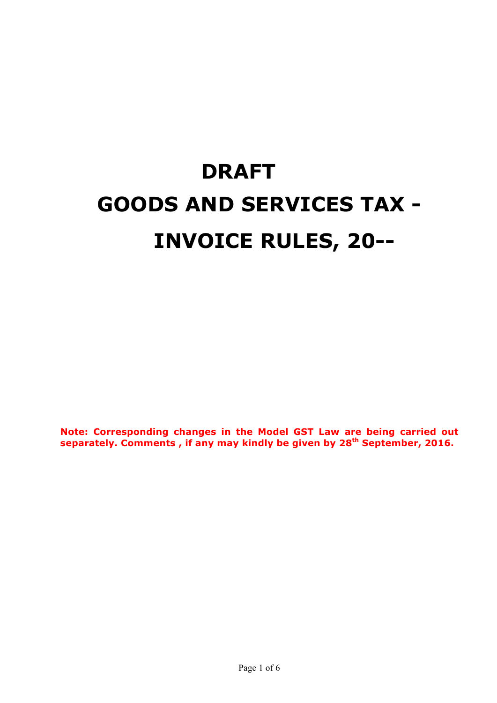# **DRAFT GOODS AND SERVICES TAX - INVOICE RULES, 20--**

**Note: Corresponding changes in the Model GST Law are being carried out separately. Comments , if any may kindly be given by 28th September, 2016.**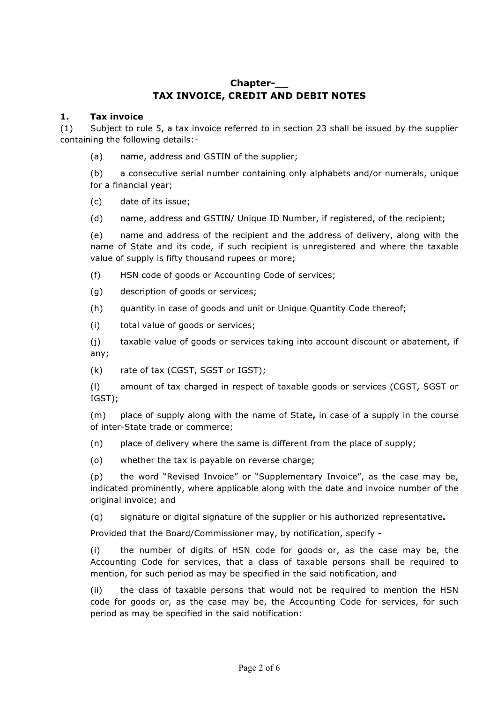## **Chapter-\_\_ TAX INVOICE, CREDIT AND DEBIT NOTES**

#### **1. Tax invoice**

(1) Subject to rule 5, a tax invoice referred to in section 23 shall be issued by the supplier containing the following details:-

(a) name, address and GSTIN of the supplier;

(b) a consecutive serial number containing only alphabets and/or numerals, unique for a financial year;

(c) date of its issue;

(d) name, address and GSTIN/ Unique ID Number, if registered, of the recipient;

(e) name and address of the recipient and the address of delivery, along with the name of State and its code, if such recipient is unregistered and where the taxable value of supply is fifty thousand rupees or more;

(f) HSN code of goods or Accounting Code of services;

- (g) description of goods or services;
- (h) quantity in case of goods and unit or Unique Quantity Code thereof;
- (i) total value of goods or services;

(j) taxable value of goods or services taking into account discount or abatement, if any;

(k) rate of tax (CGST, SGST or IGST);

(l) amount of tax charged in respect of taxable goods or services (CGST, SGST or IGST);

(m) place of supply along with the name of State**,** in case of a supply in the course of inter-State trade or commerce;

(n) place of delivery where the same is different from the place of supply;

(o) whether the tax is payable on reverse charge;

(p) the word "Revised Invoice" or "Supplementary Invoice", as the case may be, indicated prominently, where applicable along with the date and invoice number of the original invoice; and

(q) signature or digital signature of the supplier or his authorized representative**.**

Provided that the Board/Commissioner may, by notification, specify -

(i) the number of digits of HSN code for goods or, as the case may be, the Accounting Code for services, that a class of taxable persons shall be required to mention, for such period as may be specified in the said notification, and

(ii) the class of taxable persons that would not be required to mention the HSN code for goods or, as the case may be, the Accounting Code for services, for such period as may be specified in the said notification: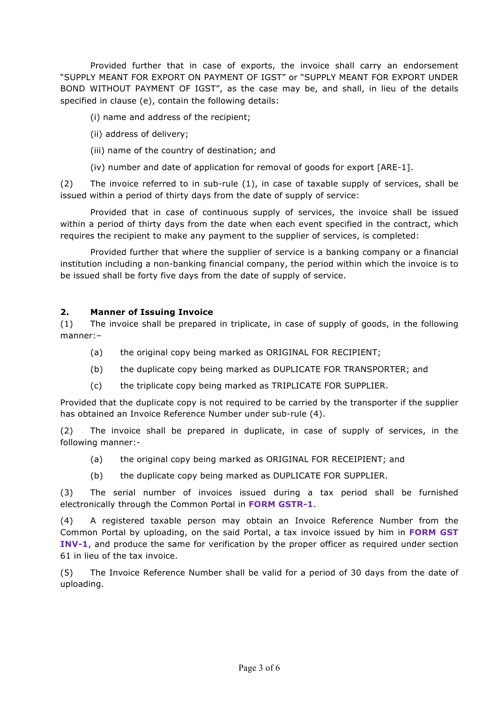Provided further that in case of exports, the invoice shall carry an endorsement "SUPPLY MEANT FOR EXPORT ON PAYMENT OF IGST" or "SUPPLY MEANT FOR EXPORT UNDER BOND WITHOUT PAYMENT OF IGST", as the case may be, and shall, in lieu of the details specified in clause (e), contain the following details:

(i) name and address of the recipient;

- (ii) address of delivery;
- (iii) name of the country of destination; and
- (iv) number and date of application for removal of goods for export [ARE-1].

(2) The invoice referred to in sub-rule (1), in case of taxable supply of services, shall be issued within a period of thirty days from the date of supply of service:

Provided that in case of continuous supply of services, the invoice shall be issued within a period of thirty days from the date when each event specified in the contract, which requires the recipient to make any payment to the supplier of services, is completed:

Provided further that where the supplier of service is a banking company or a financial institution including a non-banking financial company, the period within which the invoice is to be issued shall be forty five days from the date of supply of service.

#### **2. Manner of Issuing Invoice**

(1) The invoice shall be prepared in triplicate, in case of supply of goods, in the following manner:–

- (a) the original copy being marked as ORIGINAL FOR RECIPIENT;
- (b) the duplicate copy being marked as DUPLICATE FOR TRANSPORTER; and
- (c) the triplicate copy being marked as TRIPLICATE FOR SUPPLIER.

Provided that the duplicate copy is not required to be carried by the transporter if the supplier has obtained an Invoice Reference Number under sub-rule (4).

(2) The invoice shall be prepared in duplicate, in case of supply of services, in the following manner:-

- (a) the original copy being marked as ORIGINAL FOR RECEIPIENT; and
- (b) the duplicate copy being marked as DUPLICATE FOR SUPPLIER.

(3) The serial number of invoices issued during a tax period shall be furnished electronically through the Common Portal in **FORM GSTR-1**.

(4) A registered taxable person may obtain an Invoice Reference Number from the Common Portal by uploading, on the said Portal, a tax invoice issued by him in **FORM GST INV-1**, and produce the same for verification by the proper officer as required under section 61 in lieu of the tax invoice.

(5) The Invoice Reference Number shall be valid for a period of 30 days from the date of uploading.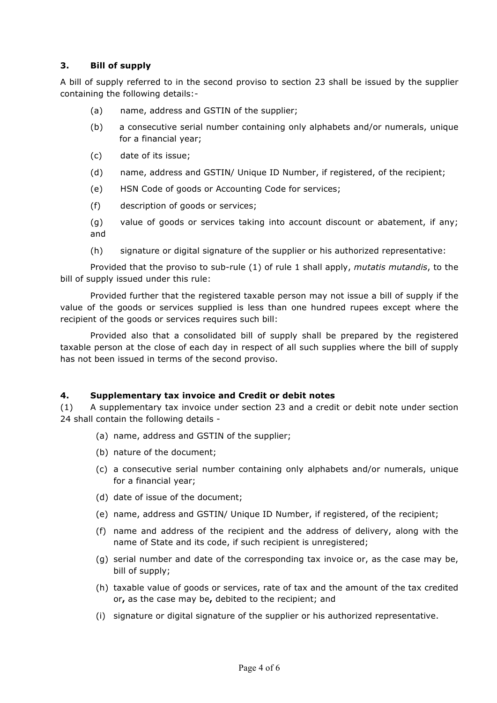### **3. Bill of supply**

A bill of supply referred to in the second proviso to section 23 shall be issued by the supplier containing the following details:-

- (a) name, address and GSTIN of the supplier;
- (b) a consecutive serial number containing only alphabets and/or numerals, unique for a financial year;
- (c) date of its issue;
- (d) name, address and GSTIN/ Unique ID Number, if registered, of the recipient;
- (e) HSN Code of goods or Accounting Code for services;
- (f) description of goods or services;
- (g) value of goods or services taking into account discount or abatement, if any; and
- (h) signature or digital signature of the supplier or his authorized representative:

Provided that the proviso to sub-rule (1) of rule 1 shall apply, *mutatis mutandis*, to the bill of supply issued under this rule:

Provided further that the registered taxable person may not issue a bill of supply if the value of the goods or services supplied is less than one hundred rupees except where the recipient of the goods or services requires such bill:

Provided also that a consolidated bill of supply shall be prepared by the registered taxable person at the close of each day in respect of all such supplies where the bill of supply has not been issued in terms of the second proviso.

#### **4. Supplementary tax invoice and Credit or debit notes**

(1) A supplementary tax invoice under section 23 and a credit or debit note under section 24 shall contain the following details -

- (a) name, address and GSTIN of the supplier;
- (b) nature of the document;
- (c) a consecutive serial number containing only alphabets and/or numerals, unique for a financial year;
- (d) date of issue of the document;
- (e) name, address and GSTIN/ Unique ID Number, if registered, of the recipient;
- (f) name and address of the recipient and the address of delivery, along with the name of State and its code, if such recipient is unregistered;
- (g) serial number and date of the corresponding tax invoice or, as the case may be, bill of supply;
- (h) taxable value of goods or services, rate of tax and the amount of the tax credited or**,** as the case may be**,** debited to the recipient; and
- (i) signature or digital signature of the supplier or his authorized representative.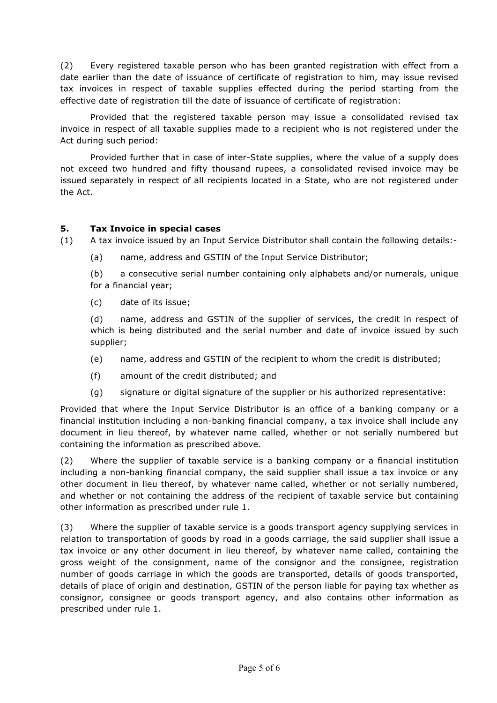(2) Every registered taxable person who has been granted registration with effect from a date earlier than the date of issuance of certificate of registration to him, may issue revised tax invoices in respect of taxable supplies effected during the period starting from the effective date of registration till the date of issuance of certificate of registration:

Provided that the registered taxable person may issue a consolidated revised tax invoice in respect of all taxable supplies made to a recipient who is not registered under the Act during such period:

Provided further that in case of inter-State supplies, where the value of a supply does not exceed two hundred and fifty thousand rupees, a consolidated revised invoice may be issued separately in respect of all recipients located in a State, who are not registered under the Act.

#### **5. Tax Invoice in special cases**

- (1) A tax invoice issued by an Input Service Distributor shall contain the following details:-
	- (a) name, address and GSTIN of the Input Service Distributor;

(b) a consecutive serial number containing only alphabets and/or numerals, unique for a financial year;

(c) date of its issue;

(d) name, address and GSTIN of the supplier of services, the credit in respect of which is being distributed and the serial number and date of invoice issued by such supplier;

- (e) name, address and GSTIN of the recipient to whom the credit is distributed;
- (f) amount of the credit distributed; and
- (g) signature or digital signature of the supplier or his authorized representative:

Provided that where the Input Service Distributor is an office of a banking company or a financial institution including a non-banking financial company, a tax invoice shall include any document in lieu thereof, by whatever name called, whether or not serially numbered but containing the information as prescribed above.

(2) Where the supplier of taxable service is a banking company or a financial institution including a non-banking financial company, the said supplier shall issue a tax invoice or any other document in lieu thereof, by whatever name called, whether or not serially numbered, and whether or not containing the address of the recipient of taxable service but containing other information as prescribed under rule 1.

(3) Where the supplier of taxable service is a goods transport agency supplying services in relation to transportation of goods by road in a goods carriage, the said supplier shall issue a tax invoice or any other document in lieu thereof, by whatever name called, containing the gross weight of the consignment, name of the consignor and the consignee, registration number of goods carriage in which the goods are transported, details of goods transported, details of place of origin and destination, GSTIN of the person liable for paying tax whether as consignor, consignee or goods transport agency, and also contains other information as prescribed under rule 1.